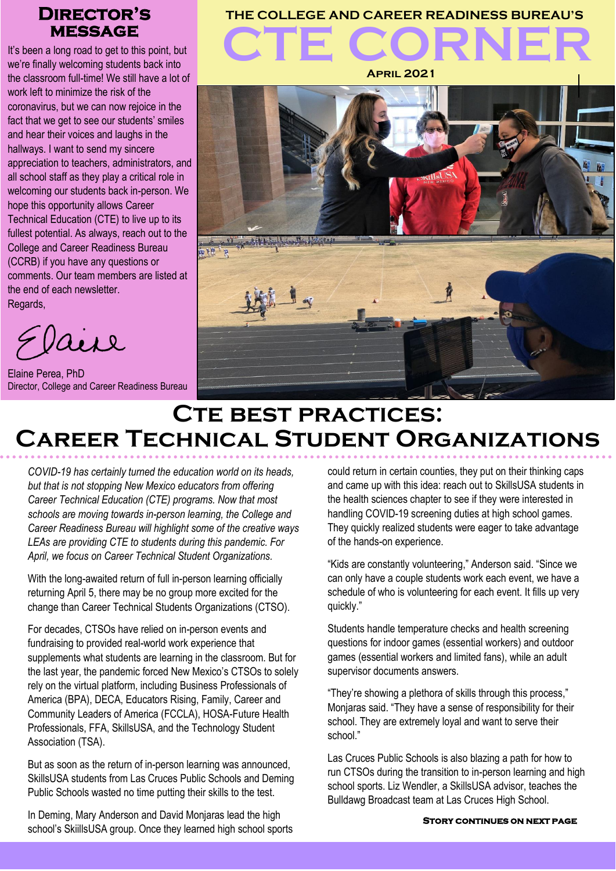# **message**

It's been a long road to get to this point, but we're finally welcoming students back into the classroom full-time! We still have a lot of work left to minimize the risk of the coronavirus, but we can now rejoice in the fact that we get to see our students' smiles and hear their voices and laughs in the hallways. I want to send my sincere appreciation to teachers, administrators, and all school staff as they play a critical role in welcoming our students back in-person. We hope this opportunity allows Career Technical Education (CTE) to live up to its fullest potential. As always, reach out to the College and Career Readiness Bureau (CCRB) if you have any questions or comments. Our team members are listed at the end of each newsletter. Regards,

aire

Elaine Perea, PhD Director, College and Career Readiness Bureau

## **CTE CORNE Director's THE COLLEGE AND CAREER READINESS BUREAU'S**

**April 2021**



## **CTE BEST PRACTICES: Career Technical Student Organizations**

*COVID-19 has certainly turned the education world on its heads, but that is not stopping New Mexico educators from offering Career Technical Education (CTE) programs. Now that most schools are moving towards in-person learning, the College and Career Readiness Bureau will highlight some of the creative ways LEAs are providing CTE to students during this pandemic. For April, we focus on Career Technical Student Organizations.*

With the long-awaited return of full in-person learning officially returning April 5, there may be no group more excited for the change than Career Technical Students Organizations (CTSO).

For decades, CTSOs have relied on in-person events and fundraising to provided real-world work experience that supplements what students are learning in the classroom. But for the last year, the pandemic forced New Mexico's CTSOs to solely rely on the virtual platform, including Business Professionals of America (BPA), DECA, Educators Rising, Family, Career and Community Leaders of America (FCCLA), HOSA-Future Health Professionals, FFA, SkillsUSA, and the Technology Student Association (TSA).

But as soon as the return of in-person learning was announced, SkillsUSA students from Las Cruces Public Schools and Deming Public Schools wasted no time putting their skills to the test.

In Deming, Mary Anderson and David Monjaras lead the high school's SkiillsUSA group. Once they learned high school sports

could return in certain counties, they put on their thinking caps and came up with this idea: reach out to SkillsUSA students in the health sciences chapter to see if they were interested in handling COVID-19 screening duties at high school games. They quickly realized students were eager to take advantage of the hands-on experience.

"Kids are constantly volunteering," Anderson said. "Since we can only have a couple students work each event, we have a schedule of who is volunteering for each event. It fills up very quickly."

Students handle temperature checks and health screening questions for indoor games (essential workers) and outdoor games (essential workers and limited fans), while an adult supervisor documents answers.

"They're showing a plethora of skills through this process," Monjaras said. "They have a sense of responsibility for their school. They are extremely loyal and want to serve their school."

Las Cruces Public Schools is also blazing a path for how to run CTSOs during the transition to in-person learning and high school sports. Liz Wendler, a SkillsUSA advisor, teaches the Bulldawg Broadcast team at Las Cruces High School.

#### **Story continues on next page**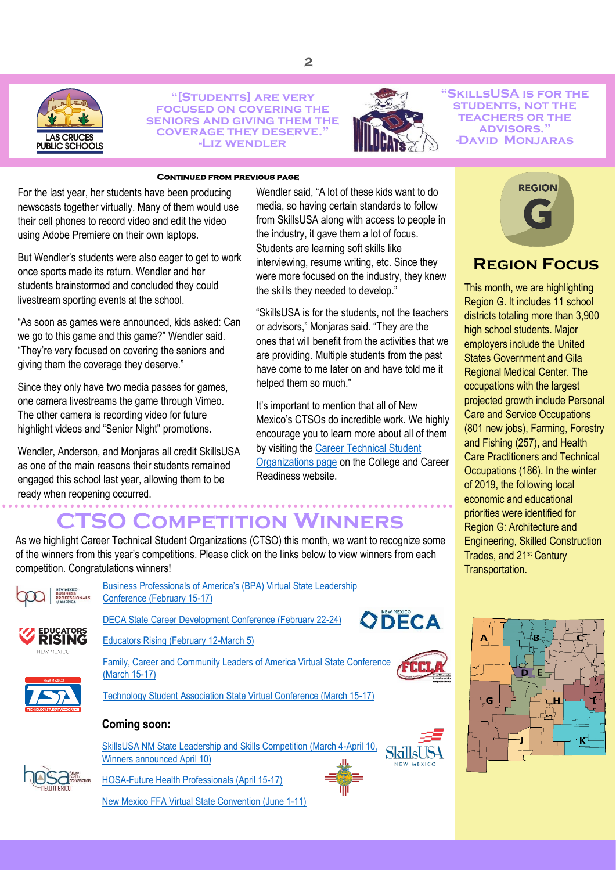



**"[Students] are very focused on covering the seniors and giving them the coverage they deserve." -Liz wendler**



**"SkillsUSA is for the students, not the TEACHERS OR THE advisors." -David Monjaras**

#### **Continued from previous page**

For the last year, her students have been producing newscasts together virtually. Many of them would use their cell phones to record video and edit the video using Adobe Premiere on their own laptops.

But Wendler's students were also eager to get to work once sports made its return. Wendler and her students brainstormed and concluded they could livestream sporting events at the school.

"As soon as games were announced, kids asked: Can we go to this game and this game?" Wendler said. "They're very focused on covering the seniors and giving them the coverage they deserve."

Since they only have two media passes for games, one camera livestreams the game through Vimeo. The other camera is recording video for future highlight videos and "Senior Night" promotions.

Wendler, Anderson, and Monjaras all credit SkillsUSA as one of the main reasons their students remained engaged this school last year, allowing them to be ready when reopening occurred.

Wendler said, "A lot of these kids want to do media, so having certain standards to follow from SkillsUSA along with access to people in the industry, it gave them a lot of focus. Students are learning soft skills like interviewing, resume writing, etc. Since they were more focused on the industry, they knew the skills they needed to develop."

"SkillsUSA is for the students, not the teachers or advisors," Monjaras said. "They are the ones that will benefit from the activities that we are providing. Multiple students from the past have come to me later on and have told me it helped them so much."

It's important to mention that all of New Mexico's CTSOs do incredible work. We highly encourage you to learn more about all of them by visiting the [Career Technical Student](https://webnew.ped.state.nm.us/bureaus/college-career-readiness/career-technical-education/high-schools-that-work/)  [Organizations page](https://webnew.ped.state.nm.us/bureaus/college-career-readiness/career-technical-education/high-schools-that-work/) on the College and Career Readiness website.

## **CTSO COMPETITION WINNERS**

As we highlight Career Technical Student Organizations (CTSO) this month, we want to recognize some of the winners from this year's competitions. Please click on the links below to view winners from each competition. Congratulations winners!



**EDUCATORS RISING** NEW MEXICO

Business Profession[als of America's \(BPA\) Virtual State Leadership](https://drive.google.com/drive/u/0/folders/1XKZm7dPdBxWf3zWvbM4La0jZFXO2OlXa)  [Conference \(February 15-17\)](https://drive.google.com/drive/u/0/folders/1XKZm7dPdBxWf3zWvbM4La0jZFXO2OlXa)

[DECA State Career Development Conference \(February 22-24\)](https://drive.google.com/drive/u/0/folders/1XKZm7dPdBxWf3zWvbM4La0jZFXO2OlXa)

[Educators Rising \(February 12-March 5\)](https://educatorsrisingnm.nmsu.edu/2021-state-conference-competition-winners/) 





[Family, Career and Community Leaders of America Virtual State Conference](https://drive.google.com/drive/u/0/folders/1XKZm7dPdBxWf3zWvbM4La0jZFXO2OlXa)  [\(March 15-17\)](https://drive.google.com/drive/u/0/folders/1XKZm7dPdBxWf3zWvbM4La0jZFXO2OlXa)



SkillsUS

[Technology Student Association State Virtual Conference \(March 15-17\)](https://drive.google.com/drive/u/0/folders/1XKZm7dPdBxWf3zWvbM4La0jZFXO2OlXa)

#### **Coming soon:**



[SkillsUSA NM State Leadership and Skills Competition \(March 4-April 10,](https://skillsusanm.org/state-championships/)  [Winners announced April 10\)](https://skillsusanm.org/state-championships/)

[HOSA-Future Health Professionals \(April 15-17\)](http://nmctso.com/hosa/conferences/)

[New Mexico FFA Virtual State Convention \(June 1-11\)](http://www.nmffa.org/state-convention.html)



### **Region Focus**

This month, we are highlighting Region G. It includes 11 school districts totaling more than 3,900 high school students. Major employers include the United States Government and Gila Regional Medical Center. The occupations with the largest projected growth include Personal Care and Service Occupations (801 new jobs), Farming, Forestry and Fishing (257), and Health Care Practitioners and Technical Occupations (186). In the winter of 2019, the following local economic and educational priorities were identified for Region G: Architecture and Engineering, Skilled Construction Trades, and 21st Century Transportation.

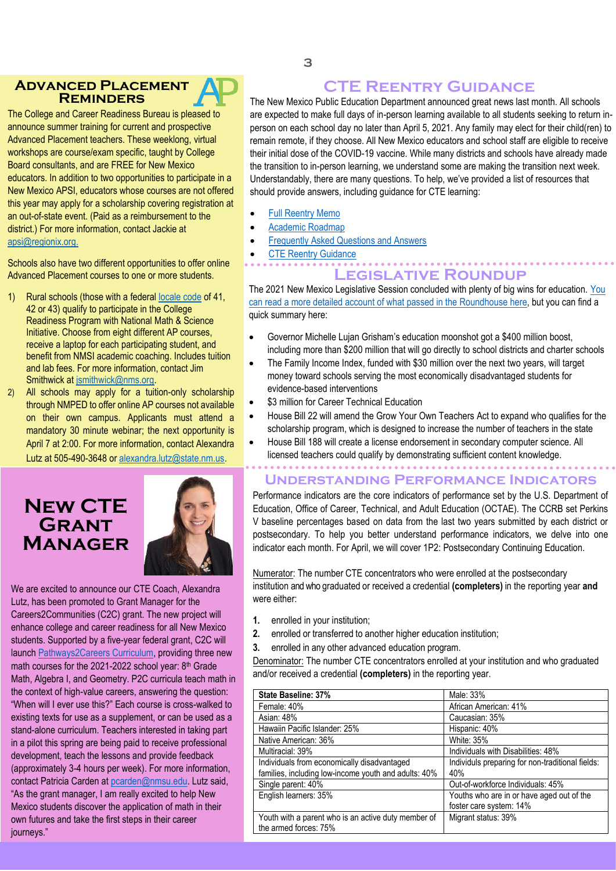#### **Advanced Placement Reminders**

new mexico APSI, equcators whose courses are not offered sho<br>this year may apply for a scholarship covering registration at The College and Career Readiness Bureau is pleased to announce summer training for current and prospective Advanced Placement teachers. These weeklong, virtual workshops are course/exam specific, taught by College Board consultants, and are FREE for New Mexico educators. In addition to two opportunities to participate in a New Mexico APSI, educators whose courses are not offered an out-of-state event. (Paid as a reimbursement to the district.) For more information, contact Jackie at [apsi@regionix.org.](mailto:apsi@regionix.org)

Schools also have two different opportunities to offer online Advanced Placement courses to one or more students.

- 1) Rural schools (those with a federal [locale code](https://nces.ed.gov/ccd/schooLSearch/index.asp) of 41, 42 or 43) qualify to participate in the College Readiness Program with National Math & Science Initiative. Choose from eight different AP courses, receive a laptop for each participating student, and benefit from NMSI academic coaching. Includes tuition and lab fees. For more information, contact Jim Smithwick at [jsmithwick@nms.org.](mailto:jsmithwick@nms.org)
- All schools may apply for a tuition-only scholarship through NMPED to offer online AP courses not available on their own campus. Applicants must attend a mandatory 30 minute webinar; the next opportunity is April 7 at 2:00. For more information, contact Alexandra Lutz at 505-490-3648 or [alexandra.lutz@state.nm.us](mailto:alexandra.lutz@state.nm.us).

### **New CTE Grant Manager**



We are excited to announce our CTE Coach, Alexandra Lutz, has been promoted to Grant Manager for the Careers2Communities (C2C) grant. The new project will enhance college and career readiness for all New Mexico students. Supported by a five-year federal grant, C2C will launch [Pathways2Careers Curriculum,](http://curriculum.pathway2careers.com/) providing three new math courses for the 2021-2022 school year: 8th Grade Math, Algebra I, and Geometry. P2C curricula teach math in the context of high-value careers, answering the question: "When will I ever use this?" Each course is cross-walked to existing texts for use as a supplement, or can be used as a stand-alone curriculum. Teachers interested in taking part in a pilot this spring are being paid to receive professional development, teach the lessons and provide feedback (approximately 3-4 hours per week). For more information, contact Patricia Carden at [pcarden@nmsu.edu.](mailto:pcarden@nmsu.edu) Lutz said, "As the grant manager, I am really excited to help New Mexico students discover the application of math in their own futures and take the first steps in their career journeys."

### **CTE Reentry Guidance**

The New Mexico Public Education Department announced great news last month. All schools are expected to make full days of in-person learning available to all students seeking to return inperson on each school day no later than April 5, 2021. Any family may elect for their child(ren) to remain remote, if they choose. All New Mexico educators and school staff are eligible to receive their initial dose of the COVID-19 vaccine. While many districts and schools have already made the transition to in-person learning, we understand some are making the transition next week. Understandably, there are many questions. To help, we've provided a list of resources that should provide answers, including guidance for CTE learning:

- [Full Reentry Memo](https://drive.google.com/drive/u/0/folders/1XKZm7dPdBxWf3zWvbM4La0jZFXO2OlXa)
- [Academic Roadmap](https://drive.google.com/drive/u/0/folders/1XKZm7dPdBxWf3zWvbM4La0jZFXO2OlXa)
- [Frequently Asked Questions and Answers](https://drive.google.com/drive/u/0/folders/1XKZm7dPdBxWf3zWvbM4La0jZFXO2OlXa)
- [CTE Reentry Guidance](https://webnew.ped.state.nm.us/wp-content/uploads/2021/02/NMPED_SupportDoc_CTEinstructionV2.pdf)

### **Legislative Roundup**

The 2021 New Mexico Legislative Session concluded with plenty of big wins for education. You [can read a more detailed account of what passed in the Roundhouse here,](https://drive.google.com/drive/u/0/folders/1XKZm7dPdBxWf3zWvbM4La0jZFXO2OlXa) but you can find a quick summary here:

- Governor Michelle Lujan Grisham's education moonshot got a \$400 million boost, including more than \$200 million that will go directly to school districts and charter schools
- The Family Income Index, funded with \$30 million over the next two years, will target money toward schools serving the most economically disadvantaged students for evidence-based interventions
- \$3 million for Career Technical Education
- House Bill 22 will amend the Grow Your Own Teachers Act to expand who qualifies for the scholarship program, which is designed to increase the number of teachers in the state
- House Bill 188 will create a license endorsement in secondary computer science. All licensed teachers could qualify by demonstrating sufficient content knowledge.

### **Understanding Performance Indicators**

Performance indicators are the core indicators of performance set by the U.S. Department of Education, Office of Career, Technical, and Adult Education (OCTAE). The CCRB set Perkins V baseline percentages based on data from the last two years submitted by each district or postsecondary. To help you better understand performance indicators, we delve into one indicator each month. For April, we will cover 1P2: Postsecondary Continuing Education.

Numerator: The number CTE concentrators who were enrolled at the postsecondary institution and who graduated or received a credential **(completers)** in the reporting year **and** were either:

- **1.** enrolled in your institution;
- **2.** enrolled or transferred to another higher education institution;
- **3.** enrolled in any other advanced education program.

Denominator: The number CTE concentrators enrolled at your institution and who graduated and/or received a credential **(completers)** in the reporting year.

| <b>State Baseline: 37%</b>                           | Male: 33%                                        |
|------------------------------------------------------|--------------------------------------------------|
| Female: 40%                                          | African American: 41%                            |
| Asian: 48%                                           | Caucasian: 35%                                   |
| Hawaiin Pacific Islander: 25%                        | Hispanic: 40%                                    |
| Native American: 36%                                 | <b>White: 35%</b>                                |
| Multiracial: 39%                                     | Individuals with Disabilities: 48%               |
| Individuals from economically disadvantaged          | Individuls preparing for non-traditional fields: |
| families, including low-income youth and adults: 40% | 40%                                              |
| Single parent: 40%                                   | Out-of-workforce Individuals: 45%                |
| English learners: 35%                                | Youths who are in or have aged out of the        |
|                                                      | foster care system: 14%                          |
| Youth with a parent who is an active duty member of  | Migrant status: 39%                              |
| the armed forces: 75%                                |                                                  |
|                                                      |                                                  |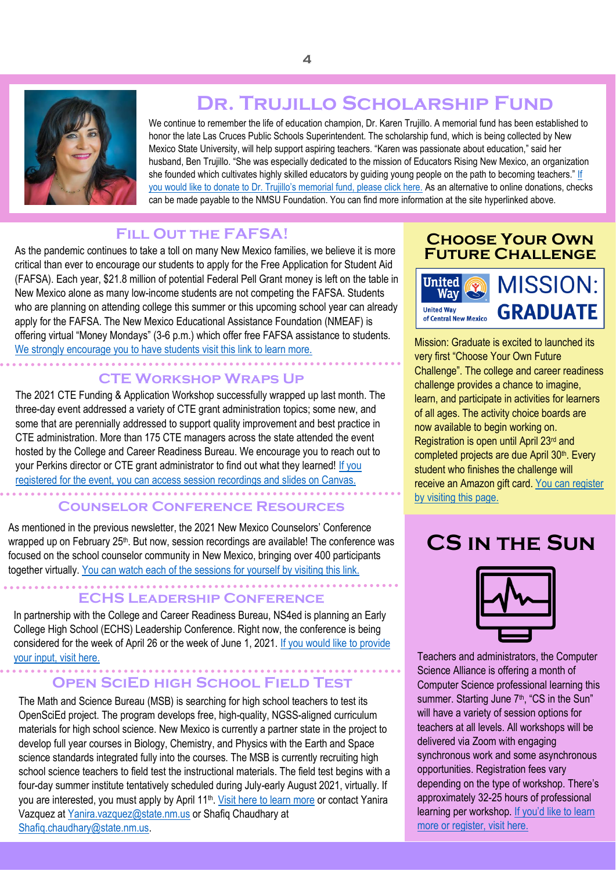

### **Dr. Trujillo Scholarship Fund**

We continue to remember the life of education champion, Dr. Karen Trujillo. A memorial fund has been established to honor the late Las Cruces Public Schools Superintendent. The scholarship fund, which is being collected by New Mexico State University, will help support aspiring teachers. "Karen was passionate about education," said her husband, Ben Trujillo. "She was especially dedicated to the mission of Educators Rising New Mexico, an organization she founded which cultivates highly skilled educators by guiding young people on the path to becoming teachers." If [you would like to donate to Dr. Trujillo's memorial fund, please click here.](https://support.nmsu.edu/give/memorial/trujillo-memorial/) As an alternative to online donations, checks can be made payable to the NMSU Foundation. You can find more information at the site hyperlinked above.

### **Fill Out the FAFSA!**

As the pandemic continues to take a toll on many New Mexico families, we believe it is more critical than ever to encourage our students to apply for the Free Application for Student Aid (FAFSA). Each year, \$21.8 million of potential Federal Pell Grant money is left on the table in New Mexico alone as many low-income students are not competing the FAFSA. Students who are planning on attending college this summer or this upcoming school year can already apply for the FAFSA. The New Mexico Educational Assistance Foundation (NMEAF) is offering virtual "Money Mondays" (3-6 p.m.) which offer free FAFSA assistance to students. [We strongly encourage you to have students visit this link to learn more.](https://www.nmeaf.org/money-mondays)

#### **CTE Workshop Wraps Up**

The 2021 CTE Funding & Application Workshop successfully wrapped up last month. The three-day event addressed a variety of CTE grant administration topics; some new, and some that are perennially addressed to support quality improvement and best practice in CTE administration. More than 175 CTE managers across the state attended the event hosted by the College and Career Readiness Bureau. We encourage you to reach out to your Perkins director or CTE grant administrator to find out what they learned! If you [registered for the event, you can access session recordings and slides on Canvas.](https://nmped.instructure.com/courses/529/pages/resources)

#### **Counselor Conference Resources**

As mentioned in the previous newsletter, the 2021 New Mexico Counselors' Conference wrapped up on February 25<sup>th</sup>. But now, session recordings are available! The conference was focused on the school counselor community in New Mexico, bringing over 400 participants together virtually. [You can watch each of the sessions for yourself by visiting this link.](https://protect-us.mimecast.com/s/0eHQCxkBMZuZB3B1fvH6Lo?domain=schoolcounselors-nm.com/)

#### **ECHS Leadership Conference**

In partnership with the College and Career Readiness Bureau, NS4ed is planning an Early College High School (ECHS) Leadership Conference. Right now, the conference is being considered for the week of April 26 or the week of June 1, 2021. [If you would like to provide](https://survey.zohopublic.com/zs/wgChTr)  [your input, visit here.](https://survey.zohopublic.com/zs/wgChTr)

### **Open SciEd high School Field Test**

The Math and Science Bureau (MSB) is searching for high school teachers to test its OpenSciEd project. The program develops free, high-quality, NGSS-aligned curriculum materials for high school science. New Mexico is currently a partner state in the project to develop full year courses in Biology, Chemistry, and Physics with the Earth and Space science standards integrated fully into the courses. The MSB is currently recruiting high school science teachers to field test the instructional materials. The field test begins with a four-day summer institute tentatively scheduled during July-early August 2021, virtually. If you are interested, you must apply by April 11<sup>th</sup>. [Visit here to learn more](https://protect-us.mimecast.com/s/MbE3Co20zNhkZJvXFn2iGV?domain=state.us7.list-manage.com) or contact Yanira Vazquez a[t Yanira.vazquez@state.nm.us](mailto:Yanira.vazquez@state.nm.us) or Shafiq Chaudhary at [Shafiq.chaudhary@state.nm.us.](mailto:Shafiq.chaudhary@state.nm.us)

### **Choose Your Own Future Challenge**



Mission: Graduate is excited to launched its very first "Choose Your Own Future Challenge". The college and career readiness challenge provides a chance to imagine, learn, and participate in activities for learners of all ages. The activity choice boards are now available to begin working on. Registration is open until April 23rd and completed projects are due April 30<sup>th</sup>. Every student who finishes the challenge will receive an Amazon gift card[. You can register](http://events.r20.constantcontact.com/register/event?llr=yw9nk5cab&oeidk=a07ehm99vew13a6a885)  [by visiting this page.](http://events.r20.constantcontact.com/register/event?llr=yw9nk5cab&oeidk=a07ehm99vew13a6a885)

### **CS in the Sun**



Teachers and administrators, the Computer Science Alliance is offering a month of Computer Science professional learning this summer. Starting June 7<sup>th</sup>, "CS in the Sun" will have a variety of session options for teachers at all levels. All workshops will be delivered via Zoom with engaging synchronous work and some asynchronous opportunities. Registration fees vary depending on the type of workshop. There's approximately 32-25 hours of professional learning per workshop. [If you'd like to learn](https://docs.google.com/document/d/e/2PACX-1vQGXv0-9O2nanROPqq0mjI5TXprsgmiplBkr5555NlzQpVbTphLwtRoS_8J6ryQ1wqPxw12Ra34ae46/pub)  [more or register, visit here.](https://docs.google.com/document/d/e/2PACX-1vQGXv0-9O2nanROPqq0mjI5TXprsgmiplBkr5555NlzQpVbTphLwtRoS_8J6ryQ1wqPxw12Ra34ae46/pub)